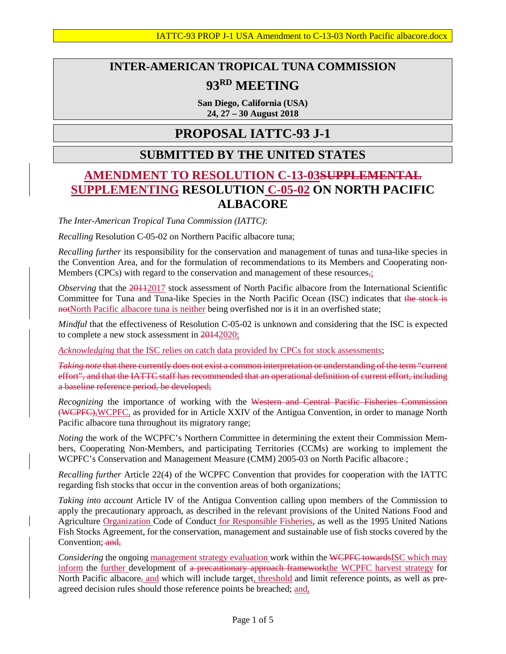# **INTER-AMERICAN TROPICAL TUNA COMMISSION 93RD MEETING**

**San Diego, California (USA) 24, 27 – 30 August 2018**

## **PROPOSAL IATTC-93 J-1**

### **SUBMITTED BY THE UNITED STATES**

## **AMENDMENT TO RESOLUTION C-13-03SUPPLEMENTAL SUPPLEMENTING RESOLUTION C-05-02 ON NORTH PACIFIC ALBACORE**

*The Inter-American Tropical Tuna Commission (IATTC)*:

*Recalling* Resolution C-05-02 on Northern Pacific albacore tuna;

*Recalling further* its responsibility for the conservation and management of tunas and tuna-like species in the Convention Area, and for the formulation of recommendations to its Members and Cooperating non-Members (CPCs) with regard to the conservation and management of these resources<sub>5</sub>;

*Observing* that the 2011<sub>2017</sub> stock assessment of North Pacific albacore from the International Scientific Committee for Tuna and Tuna-like Species in the North Pacific Ocean (ISC) indicates that the stock is notNorth Pacific albacore tuna is neither being overfished nor is it in an overfished state;

*Mindful* that the effectiveness of Resolution C-05-02 is unknown and considering that the ISC is expected to complete a new stock assessment in 20142020;

*Acknowledging* that the ISC relies on catch data provided by CPCs for stock assessments;

*Taking note* that there currently does not exist a common interpretation or understanding of the term "current effort", and that the IATTC staff has recommended that an operational definition of current effort, including a baseline reference period, be developed;

*Recognizing* the importance of working with the Western and Central Pacific Fisheries Commission (WCPFC),WCPFC, as provided for in Article XXIV of the Antigua Convention, in order to manage North Pacific albacore tuna throughout its migratory range;

*Noting* the work of the WCPFC's Northern Committee in determining the extent their Commission Members, Cooperating Non-Members, and participating Territories (CCMs) are working to implement the WCPFC's Conservation and Management Measure (CMM) 2005-03 on North Pacific albacore-;

*Recalling further* Article 22(4) of the WCPFC Convention that provides for cooperation with the IATTC regarding fish stocks that occur in the convention areas of both organizations;

*Taking into account* Article IV of the Antigua Convention calling upon members of the Commission to apply the precautionary approach, as described in the relevant provisions of the United Nations Food and Agriculture Organization Code of Conduct for Responsible Fisheries, as well as the 1995 United Nations Fish Stocks Agreement, for the conservation, management and sustainable use of fish stocks covered by the Convention: and,

*Considering* the ongoing management strategy evaluation work within the WCPFC towardsISC which may inform the further development of a precautionary approach frameworkthe WCPFC harvest strategy for North Pacific albacore<sub>5</sub> and which will include target, threshold and limit reference points, as well as preagreed decision rules should those reference points be breached; and,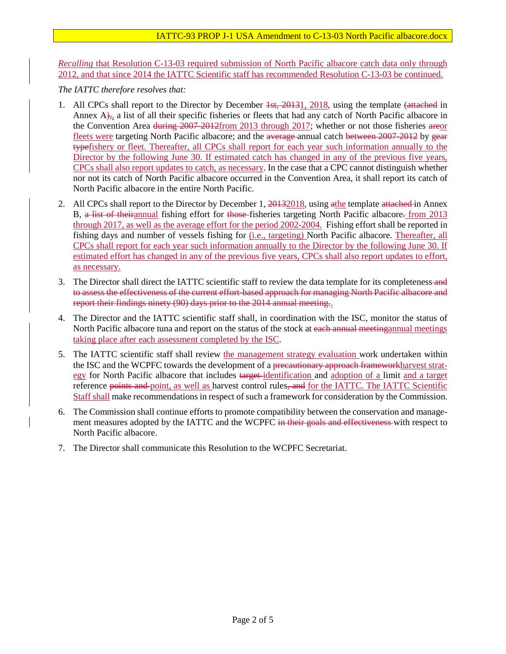*Recalling* that Resolution C-13-03 required submission of North Pacific albacore catch data only through 2012, and that since 2014 the IATTC Scientific staff has recommended Resolution C-13-03 be continued.

*The IATTC therefore resolves that:* 

- 1. All CPCs shall report to the Director by December 1st, 20131, 2018, using the template (attached in Annex A), a list of all their specific fisheries or fleets that had any catch of North Pacific albacore in the Convention Area during 2007-2012from 2013 through 2017; whether or not those fisheries areor fleets were targeting North Pacific albacore; and the average-annual catch between 2007-2012 by gear typefishery or fleet. Thereafter, all CPCs shall report for each year such information annually to the Director by the following June 30. If estimated catch has changed in any of the previous five years, CPCs shall also report updates to catch, as necessary. In the case that a CPC cannot distinguish whether nor not its catch of North Pacific albacore occurred in the Convention Area, it shall report its catch of North Pacific albacore in the entire North Pacific.
- 2. All CPCs shall report to the Director by December 1, 20132018, using a the template attached in Annex B, a list of theirannual fishing effort for those-fisheries targeting North Pacific albacore. from 2013 through 2017, as well as the average effort for the period 2002-2004. Fishing effort shall be reported in fishing days and number of vessels fishing for (i.e., targeting) North Pacific albacore. Thereafter, all CPCs shall report for each year such information annually to the Director by the following June 30. If estimated effort has changed in any of the previous five years, CPCs shall also report updates to effort, as necessary.
- 3. The Director shall direct the IATTC scientific staff to review the data template for its completeness and to assess the effectiveness of the current effort-based approach for managing North Pacific albacore and report their findings ninety (90) days prior to the 2014 annual meeting..
- 4. The Director and the IATTC scientific staff shall, in coordination with the ISC, monitor the status of North Pacific albacore tuna and report on the status of the stock at each annual meeting annual meetings taking place after each assessment completed by the ISC.
- 5. The IATTC scientific staff shall review the management strategy evaluation work undertaken within the ISC and the WCPFC towards the development of a precautionary approach frameworkharvest strategy for North Pacific albacore that includes target identification and adoption of a limit and a target reference points and point, as well as harvest control rules, and for the IATTC. The IATTC Scientific Staff shall make recommendations in respect of such a framework for consideration by the Commission.
- 6. The Commission shall continue efforts to promote compatibility between the conservation and management measures adopted by the IATTC and the WCPFC in their goals and effectiveness with respect to North Pacific albacore.
- 7. The Director shall communicate this Resolution to the WCPFC Secretariat.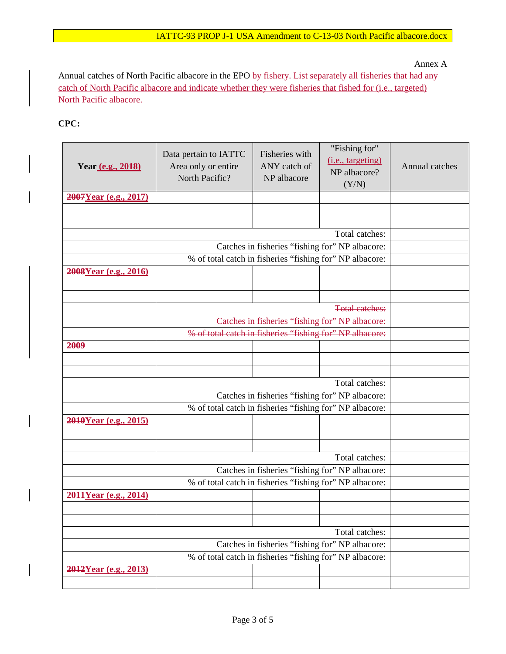Annex A

Annual catches of North Pacific albacore in the EPO by fishery. List separately all fisheries that had any catch of North Pacific albacore and indicate whether they were fisheries that fished for (i.e., targeted) North Pacific albacore.

#### **CPC:**

| Year (e.g., 2018)     | Data pertain to IATTC<br>Area only or entire<br>North Pacific? | Fisheries with<br>ANY catch of<br>NP albacore | "Fishing for"<br>(i.e., targeting)<br>NP albacore?<br>(Y/N) | Annual catches |  |  |
|-----------------------|----------------------------------------------------------------|-----------------------------------------------|-------------------------------------------------------------|----------------|--|--|
| 2007Year (e.g., 2017) |                                                                |                                               |                                                             |                |  |  |
|                       |                                                                |                                               |                                                             |                |  |  |
|                       |                                                                |                                               | Total catches:                                              |                |  |  |
|                       |                                                                |                                               |                                                             |                |  |  |
|                       |                                                                |                                               |                                                             |                |  |  |
|                       |                                                                |                                               |                                                             |                |  |  |
| 2008Year (e.g., 2016) |                                                                |                                               |                                                             |                |  |  |
|                       |                                                                |                                               |                                                             |                |  |  |
|                       |                                                                |                                               | <b>Total catches:</b>                                       |                |  |  |
|                       |                                                                |                                               |                                                             |                |  |  |
|                       |                                                                |                                               |                                                             |                |  |  |
| 2009                  |                                                                |                                               | % of total catch in fisheries "fishing for" NP albacore:    |                |  |  |
|                       |                                                                |                                               |                                                             |                |  |  |
|                       |                                                                |                                               |                                                             |                |  |  |
|                       |                                                                |                                               | Total catches:                                              |                |  |  |
|                       |                                                                |                                               | Catches in fisheries "fishing for" NP albacore:             |                |  |  |
|                       |                                                                |                                               |                                                             |                |  |  |
| 2010Year (e.g., 2015) |                                                                |                                               | % of total catch in fisheries "fishing for" NP albacore:    |                |  |  |
|                       |                                                                |                                               |                                                             |                |  |  |
|                       |                                                                |                                               |                                                             |                |  |  |
|                       |                                                                |                                               |                                                             |                |  |  |
|                       |                                                                |                                               |                                                             |                |  |  |
|                       |                                                                |                                               |                                                             |                |  |  |
| 2011Year (e.g., 2014) |                                                                |                                               |                                                             |                |  |  |
|                       |                                                                |                                               |                                                             |                |  |  |
|                       |                                                                |                                               | Total catches:                                              |                |  |  |
|                       |                                                                |                                               |                                                             |                |  |  |
|                       |                                                                |                                               |                                                             |                |  |  |
|                       |                                                                |                                               |                                                             |                |  |  |
| 2012Year (e.g., 2013) |                                                                |                                               |                                                             |                |  |  |
|                       |                                                                |                                               |                                                             |                |  |  |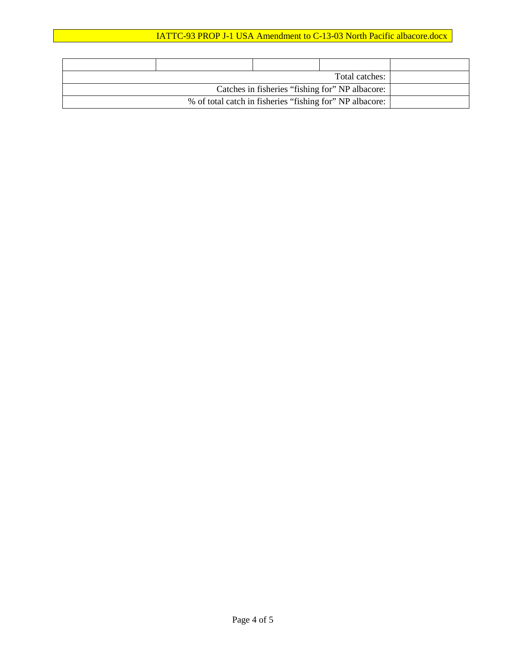### IATTC-93 PROP J-1 USA Amendment to C-13-03 North Pacific albacore.docx